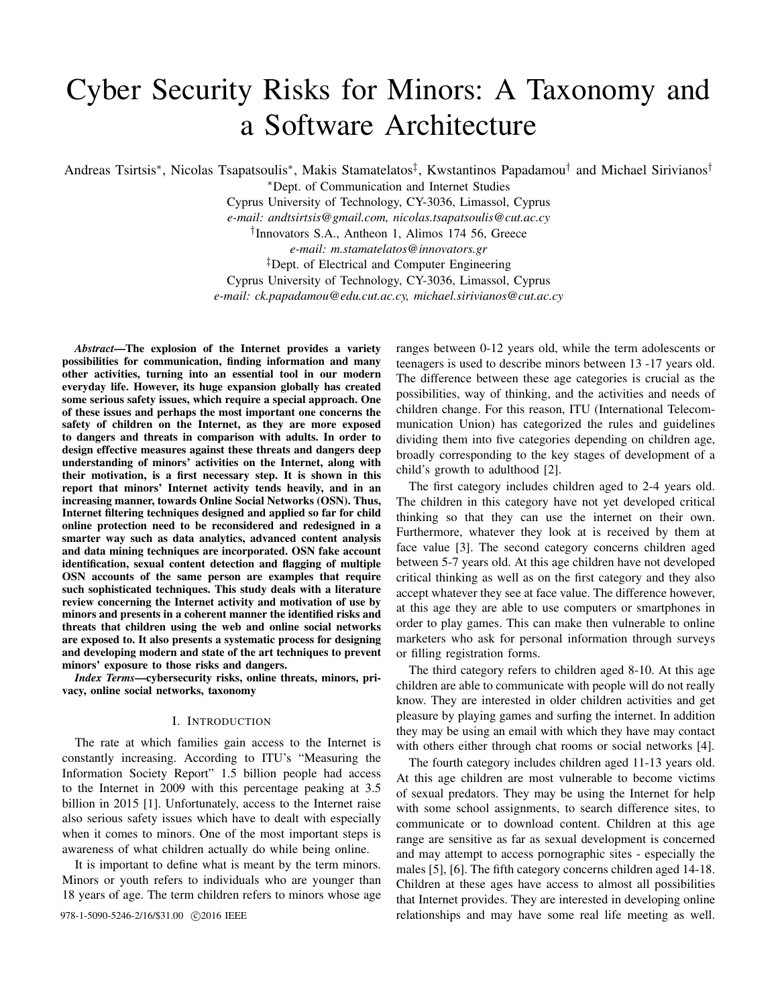# Cyber Security Risks for Minors: A Taxonomy and a Software Architecture

Andreas Tsirtsis\*, Nicolas Tsapatsoulis\*, Makis Stamatelatos<sup>‡</sup>, Kwstantinos Papadamou<sup>†</sup> and Michael Sirivianos<sup>†</sup>

<sup>∗</sup>Dept. of Communication and Internet Studies

Cyprus University of Technology, CY-3036, Limassol, Cyprus

*e-mail: andtsirtsis@gmail.com, nicolas.tsapatsoulis@cut.ac.cy*

† Innovators S.A., Antheon 1, Alimos 174 56, Greece

*e-mail: m.stamatelatos@innovators.gr*

‡Dept. of Electrical and Computer Engineering

Cyprus University of Technology, CY-3036, Limassol, Cyprus

*e-mail: ck.papadamou@edu.cut.ac.cy, michael.sirivianos@cut.ac.cy*

*Abstract*—The explosion of the Internet provides a variety possibilities for communication, finding information and many other activities, turning into an essential tool in our modern everyday life. However, its huge expansion globally has created some serious safety issues, which require a special approach. One of these issues and perhaps the most important one concerns the safety of children on the Internet, as they are more exposed to dangers and threats in comparison with adults. In order to design effective measures against these threats and dangers deep understanding of minors' activities on the Internet, along with their motivation, is a first necessary step. It is shown in this report that minors' Internet activity tends heavily, and in an increasing manner, towards Online Social Networks (OSN). Thus, Internet filtering techniques designed and applied so far for child online protection need to be reconsidered and redesigned in a smarter way such as data analytics, advanced content analysis and data mining techniques are incorporated. OSN fake account identification, sexual content detection and flagging of multiple OSN accounts of the same person are examples that require such sophisticated techniques. This study deals with a literature review concerning the Internet activity and motivation of use by minors and presents in a coherent manner the identified risks and threats that children using the web and online social networks are exposed to. It also presents a systematic process for designing and developing modern and state of the art techniques to prevent minors' exposure to those risks and dangers.

*Index Terms*—cybersecurity risks, online threats, minors, privacy, online social networks, taxonomy

## I. INTRODUCTION

The rate at which families gain access to the Internet is constantly increasing. According to ITU's "Measuring the Information Society Report" 1.5 billion people had access to the Internet in 2009 with this percentage peaking at 3.5 billion in 2015 [1]. Unfortunately, access to the Internet raise also serious safety issues which have to dealt with especially when it comes to minors. One of the most important steps is awareness of what children actually do while being online.

It is important to define what is meant by the term minors. Minors or youth refers to individuals who are younger than 18 years of age. The term children refers to minors whose age

ranges between 0-12 years old, while the term adolescents or teenagers is used to describe minors between 13 -17 years old. The difference between these age categories is crucial as the possibilities, way of thinking, and the activities and needs of children change. For this reason, ITU (International Telecommunication Union) has categorized the rules and guidelines dividing them into five categories depending on children age, broadly corresponding to the key stages of development of a child's growth to adulthood [2].

The first category includes children aged to 2-4 years old. The children in this category have not yet developed critical thinking so that they can use the internet on their own. Furthermore, whatever they look at is received by them at face value [3]. The second category concerns children aged between 5-7 years old. At this age children have not developed critical thinking as well as on the first category and they also accept whatever they see at face value. The difference however, at this age they are able to use computers or smartphones in order to play games. This can make then vulnerable to online marketers who ask for personal information through surveys or filling registration forms.

The third category refers to children aged 8-10. At this age children are able to communicate with people will do not really know. They are interested in older children activities and get pleasure by playing games and surfing the internet. In addition they may be using an email with which they have may contact with others either through chat rooms or social networks [4].

The fourth category includes children aged 11-13 years old. At this age children are most vulnerable to become victims of sexual predators. They may be using the Internet for help with some school assignments, to search difference sites, to communicate or to download content. Children at this age range are sensitive as far as sexual development is concerned and may attempt to access pornographic sites - especially the males [5], [6]. The fifth category concerns children aged 14-18. Children at these ages have access to almost all possibilities that Internet provides. They are interested in developing online 978-1-5090-5246-2/16/\$31.00  $\odot$ 2016 IEEE relationships and may have some real life meeting as well.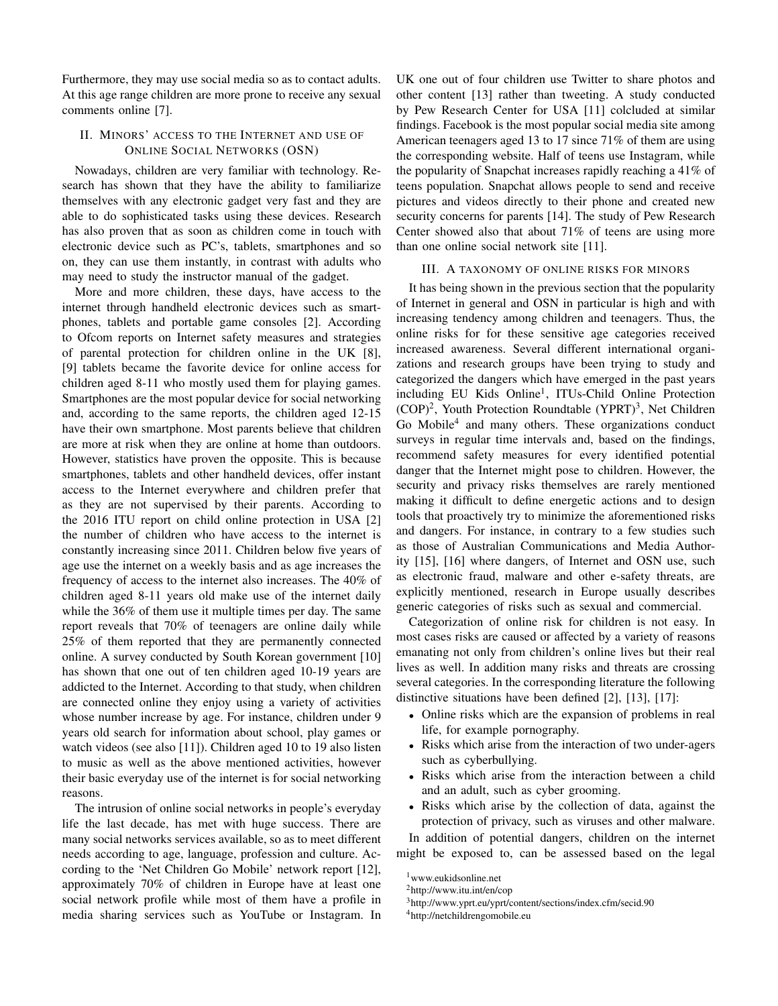Furthermore, they may use social media so as to contact adults. At this age range children are more prone to receive any sexual comments online [7].

# II. MINORS' ACCESS TO THE INTERNET AND USE OF ONLINE SOCIAL NETWORKS (OSN)

Nowadays, children are very familiar with technology. Research has shown that they have the ability to familiarize themselves with any electronic gadget very fast and they are able to do sophisticated tasks using these devices. Research has also proven that as soon as children come in touch with electronic device such as PC's, tablets, smartphones and so on, they can use them instantly, in contrast with adults who may need to study the instructor manual of the gadget.

More and more children, these days, have access to the internet through handheld electronic devices such as smartphones, tablets and portable game consoles [2]. According to Ofcom reports on Internet safety measures and strategies of parental protection for children online in the UK [8], [9] tablets became the favorite device for online access for children aged 8-11 who mostly used them for playing games. Smartphones are the most popular device for social networking and, according to the same reports, the children aged 12-15 have their own smartphone. Most parents believe that children are more at risk when they are online at home than outdoors. However, statistics have proven the opposite. This is because smartphones, tablets and other handheld devices, offer instant access to the Internet everywhere and children prefer that as they are not supervised by their parents. According to the 2016 ITU report on child online protection in USA [2] the number of children who have access to the internet is constantly increasing since 2011. Children below five years of age use the internet on a weekly basis and as age increases the frequency of access to the internet also increases. The 40% of children aged 8-11 years old make use of the internet daily while the 36% of them use it multiple times per day. The same report reveals that 70% of teenagers are online daily while 25% of them reported that they are permanently connected online. A survey conducted by South Korean government [10] has shown that one out of ten children aged 10-19 years are addicted to the Internet. According to that study, when children are connected online they enjoy using a variety of activities whose number increase by age. For instance, children under 9 years old search for information about school, play games or watch videos (see also [11]). Children aged 10 to 19 also listen to music as well as the above mentioned activities, however their basic everyday use of the internet is for social networking reasons.

The intrusion of online social networks in people's everyday life the last decade, has met with huge success. There are many social networks services available, so as to meet different needs according to age, language, profession and culture. According to the 'Net Children Go Mobile' network report [12], approximately 70% of children in Europe have at least one social network profile while most of them have a profile in media sharing services such as YouTube or Instagram. In UK one out of four children use Twitter to share photos and other content [13] rather than tweeting. A study conducted by Pew Research Center for USA [11] colcluded at similar findings. Facebook is the most popular social media site among American teenagers aged 13 to 17 since 71% of them are using the corresponding website. Half of teens use Instagram, while the popularity of Snapchat increases rapidly reaching a 41% of teens population. Snapchat allows people to send and receive pictures and videos directly to their phone and created new security concerns for parents [14]. The study of Pew Research Center showed also that about 71% of teens are using more than one online social network site [11].

#### III. A TAXONOMY OF ONLINE RISKS FOR MINORS

It has being shown in the previous section that the popularity of Internet in general and OSN in particular is high and with increasing tendency among children and teenagers. Thus, the online risks for for these sensitive age categories received increased awareness. Several different international organizations and research groups have been trying to study and categorized the dangers which have emerged in the past years including EU Kids Online<sup>1</sup>, ITUs-Child Online Protection  $(COP)^2$ , Youth Protection Roundtable (YPRT)<sup>3</sup>, Net Children Go Mobile<sup>4</sup> and many others. These organizations conduct surveys in regular time intervals and, based on the findings, recommend safety measures for every identified potential danger that the Internet might pose to children. However, the security and privacy risks themselves are rarely mentioned making it difficult to define energetic actions and to design tools that proactively try to minimize the aforementioned risks and dangers. For instance, in contrary to a few studies such as those of Australian Communications and Media Authority [15], [16] where dangers, of Internet and OSN use, such as electronic fraud, malware and other e-safety threats, are explicitly mentioned, research in Europe usually describes generic categories of risks such as sexual and commercial.

Categorization of online risk for children is not easy. In most cases risks are caused or affected by a variety of reasons emanating not only from children's online lives but their real lives as well. In addition many risks and threats are crossing several categories. In the corresponding literature the following distinctive situations have been defined [2], [13], [17]:

- Online risks which are the expansion of problems in real life, for example pornography.
- Risks which arise from the interaction of two under-agers such as cyberbullying.
- Risks which arise from the interaction between a child and an adult, such as cyber grooming.
- Risks which arise by the collection of data, against the protection of privacy, such as viruses and other malware.

In addition of potential dangers, children on the internet might be exposed to, can be assessed based on the legal

<sup>1</sup>www.eukidsonline.net

<sup>2</sup>http://www.itu.int/en/cop

<sup>3</sup>http://www.yprt.eu/yprt/content/sections/index.cfm/secid.90

<sup>4</sup>http://netchildrengomobile.eu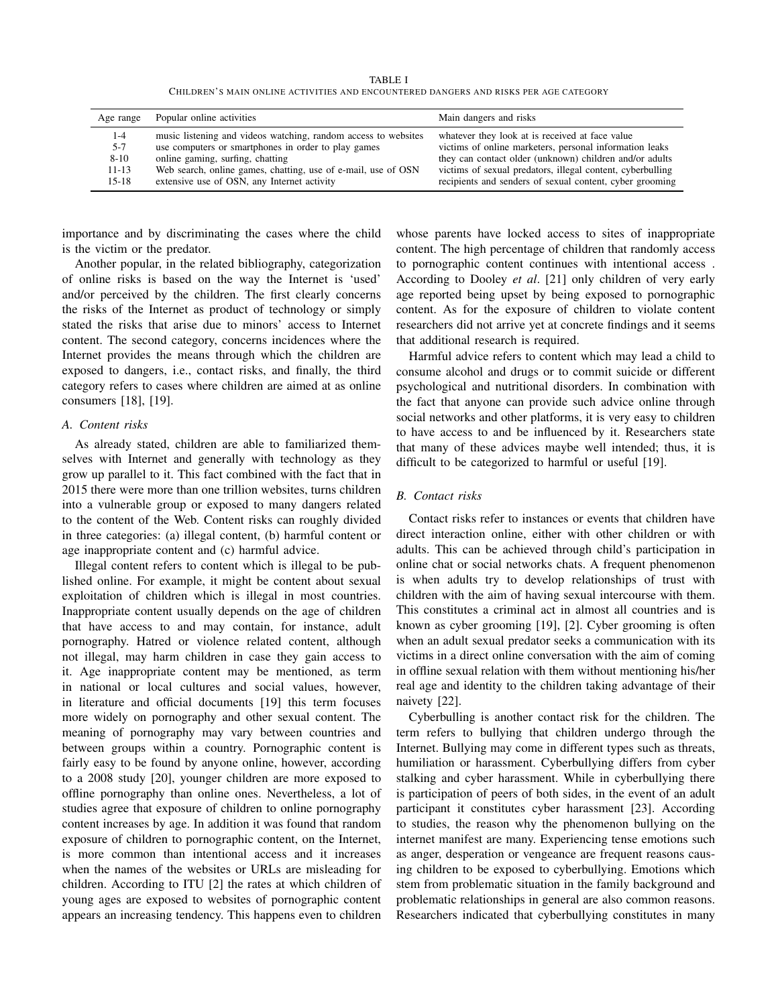TABLE I CHILDREN'S MAIN ONLINE ACTIVITIES AND ENCOUNTERED DANGERS AND RISKS PER AGE CATEGORY

| Age range | Popular online activities                                      | Main dangers and risks                                     |
|-----------|----------------------------------------------------------------|------------------------------------------------------------|
| 1-4       | music listening and videos watching, random access to websites | whatever they look at is received at face value            |
| $5 - 7$   | use computers or smartphones in order to play games            | victims of online marketers, personal information leaks    |
| $8 - 10$  | online gaming, surfing, chatting                               | they can contact older (unknown) children and/or adults    |
| $11 - 13$ | Web search, online games, chatting, use of e-mail, use of OSN  | victims of sexual predators, illegal content, cyberbulling |
| $15-18$   | extensive use of OSN, any Internet activity                    | recipients and senders of sexual content, cyber grooming   |

importance and by discriminating the cases where the child is the victim or the predator.

Another popular, in the related bibliography, categorization of online risks is based on the way the Internet is 'used' and/or perceived by the children. The first clearly concerns the risks of the Internet as product of technology or simply stated the risks that arise due to minors' access to Internet content. The second category, concerns incidences where the Internet provides the means through which the children are exposed to dangers, i.e., contact risks, and finally, the third category refers to cases where children are aimed at as online consumers [18], [19].

## *A. Content risks*

As already stated, children are able to familiarized themselves with Internet and generally with technology as they grow up parallel to it. This fact combined with the fact that in 2015 there were more than one trillion websites, turns children into a vulnerable group or exposed to many dangers related to the content of the Web. Content risks can roughly divided in three categories: (a) illegal content, (b) harmful content or age inappropriate content and (c) harmful advice.

Illegal content refers to content which is illegal to be published online. For example, it might be content about sexual exploitation of children which is illegal in most countries. Inappropriate content usually depends on the age of children that have access to and may contain, for instance, adult pornography. Hatred or violence related content, although not illegal, may harm children in case they gain access to it. Age inappropriate content may be mentioned, as term in national or local cultures and social values, however, in literature and official documents [19] this term focuses more widely on pornography and other sexual content. The meaning of pornography may vary between countries and between groups within a country. Pornographic content is fairly easy to be found by anyone online, however, according to a 2008 study [20], younger children are more exposed to offline pornography than online ones. Nevertheless, a lot of studies agree that exposure of children to online pornography content increases by age. In addition it was found that random exposure of children to pornographic content, on the Internet, is more common than intentional access and it increases when the names of the websites or URLs are misleading for children. According to ITU [2] the rates at which children of young ages are exposed to websites of pornographic content appears an increasing tendency. This happens even to children whose parents have locked access to sites of inappropriate content. The high percentage of children that randomly access to pornographic content continues with intentional access . According to Dooley *et al*. [21] only children of very early age reported being upset by being exposed to pornographic content. As for the exposure of children to violate content researchers did not arrive yet at concrete findings and it seems that additional research is required.

Harmful advice refers to content which may lead a child to consume alcohol and drugs or to commit suicide or different psychological and nutritional disorders. In combination with the fact that anyone can provide such advice online through social networks and other platforms, it is very easy to children to have access to and be influenced by it. Researchers state that many of these advices maybe well intended; thus, it is difficult to be categorized to harmful or useful [19].

# *B. Contact risks*

Contact risks refer to instances or events that children have direct interaction online, either with other children or with adults. This can be achieved through child's participation in online chat or social networks chats. A frequent phenomenon is when adults try to develop relationships of trust with children with the aim of having sexual intercourse with them. This constitutes a criminal act in almost all countries and is known as cyber grooming [19], [2]. Cyber grooming is often when an adult sexual predator seeks a communication with its victims in a direct online conversation with the aim of coming in offline sexual relation with them without mentioning his/her real age and identity to the children taking advantage of their naivety [22].

Cyberbulling is another contact risk for the children. The term refers to bullying that children undergo through the Internet. Bullying may come in different types such as threats, humiliation or harassment. Cyberbullying differs from cyber stalking and cyber harassment. While in cyberbullying there is participation of peers of both sides, in the event of an adult participant it constitutes cyber harassment [23]. According to studies, the reason why the phenomenon bullying on the internet manifest are many. Experiencing tense emotions such as anger, desperation or vengeance are frequent reasons causing children to be exposed to cyberbullying. Emotions which stem from problematic situation in the family background and problematic relationships in general are also common reasons. Researchers indicated that cyberbullying constitutes in many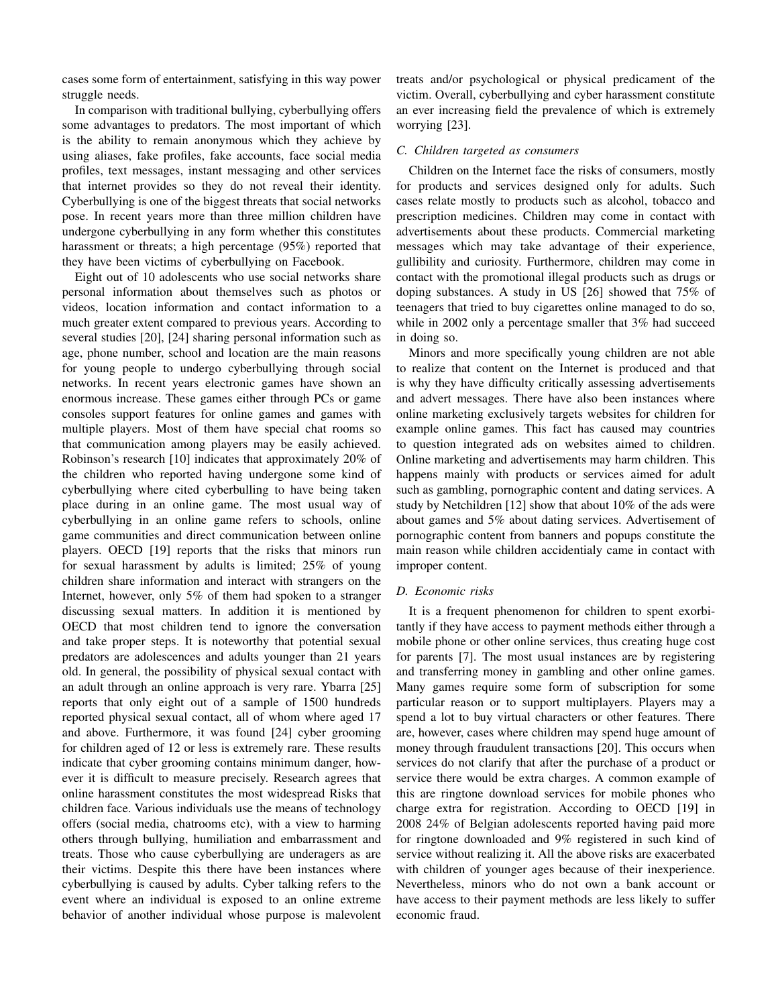cases some form of entertainment, satisfying in this way power struggle needs.

In comparison with traditional bullying, cyberbullying offers some advantages to predators. The most important of which is the ability to remain anonymous which they achieve by using aliases, fake profiles, fake accounts, face social media profiles, text messages, instant messaging and other services that internet provides so they do not reveal their identity. Cyberbullying is one of the biggest threats that social networks pose. In recent years more than three million children have undergone cyberbullying in any form whether this constitutes harassment or threats; a high percentage (95%) reported that they have been victims of cyberbullying on Facebook.

Eight out of 10 adolescents who use social networks share personal information about themselves such as photos or videos, location information and contact information to a much greater extent compared to previous years. According to several studies [20], [24] sharing personal information such as age, phone number, school and location are the main reasons for young people to undergo cyberbullying through social networks. In recent years electronic games have shown an enormous increase. These games either through PCs or game consoles support features for online games and games with multiple players. Most of them have special chat rooms so that communication among players may be easily achieved. Robinson's research [10] indicates that approximately 20% of the children who reported having undergone some kind of cyberbullying where cited cyberbulling to have being taken place during in an online game. The most usual way of cyberbullying in an online game refers to schools, online game communities and direct communication between online players. OECD [19] reports that the risks that minors run for sexual harassment by adults is limited; 25% of young children share information and interact with strangers on the Internet, however, only 5% of them had spoken to a stranger discussing sexual matters. In addition it is mentioned by OECD that most children tend to ignore the conversation and take proper steps. It is noteworthy that potential sexual predators are adolescences and adults younger than 21 years old. In general, the possibility of physical sexual contact with an adult through an online approach is very rare. Ybarra [25] reports that only eight out of a sample of 1500 hundreds reported physical sexual contact, all of whom where aged 17 and above. Furthermore, it was found [24] cyber grooming for children aged of 12 or less is extremely rare. These results indicate that cyber grooming contains minimum danger, however it is difficult to measure precisely. Research agrees that online harassment constitutes the most widespread Risks that children face. Various individuals use the means of technology offers (social media, chatrooms etc), with a view to harming others through bullying, humiliation and embarrassment and treats. Those who cause cyberbullying are underagers as are their victims. Despite this there have been instances where cyberbullying is caused by adults. Cyber talking refers to the event where an individual is exposed to an online extreme behavior of another individual whose purpose is malevolent treats and/or psychological or physical predicament of the victim. Overall, cyberbullying and cyber harassment constitute an ever increasing field the prevalence of which is extremely worrying [23].

## *C. Children targeted as consumers*

Children on the Internet face the risks of consumers, mostly for products and services designed only for adults. Such cases relate mostly to products such as alcohol, tobacco and prescription medicines. Children may come in contact with advertisements about these products. Commercial marketing messages which may take advantage of their experience, gullibility and curiosity. Furthermore, children may come in contact with the promotional illegal products such as drugs or doping substances. A study in US [26] showed that 75% of teenagers that tried to buy cigarettes online managed to do so, while in 2002 only a percentage smaller that 3% had succeed in doing so.

Minors and more specifically young children are not able to realize that content on the Internet is produced and that is why they have difficulty critically assessing advertisements and advert messages. There have also been instances where online marketing exclusively targets websites for children for example online games. This fact has caused may countries to question integrated ads on websites aimed to children. Online marketing and advertisements may harm children. This happens mainly with products or services aimed for adult such as gambling, pornographic content and dating services. A study by Netchildren [12] show that about 10% of the ads were about games and 5% about dating services. Advertisement of pornographic content from banners and popups constitute the main reason while children accidentialy came in contact with improper content.

#### *D. Economic risks*

It is a frequent phenomenon for children to spent exorbitantly if they have access to payment methods either through a mobile phone or other online services, thus creating huge cost for parents [7]. The most usual instances are by registering and transferring money in gambling and other online games. Many games require some form of subscription for some particular reason or to support multiplayers. Players may a spend a lot to buy virtual characters or other features. There are, however, cases where children may spend huge amount of money through fraudulent transactions [20]. This occurs when services do not clarify that after the purchase of a product or service there would be extra charges. A common example of this are ringtone download services for mobile phones who charge extra for registration. According to OECD [19] in 2008 24% of Belgian adolescents reported having paid more for ringtone downloaded and 9% registered in such kind of service without realizing it. All the above risks are exacerbated with children of younger ages because of their inexperience. Nevertheless, minors who do not own a bank account or have access to their payment methods are less likely to suffer economic fraud.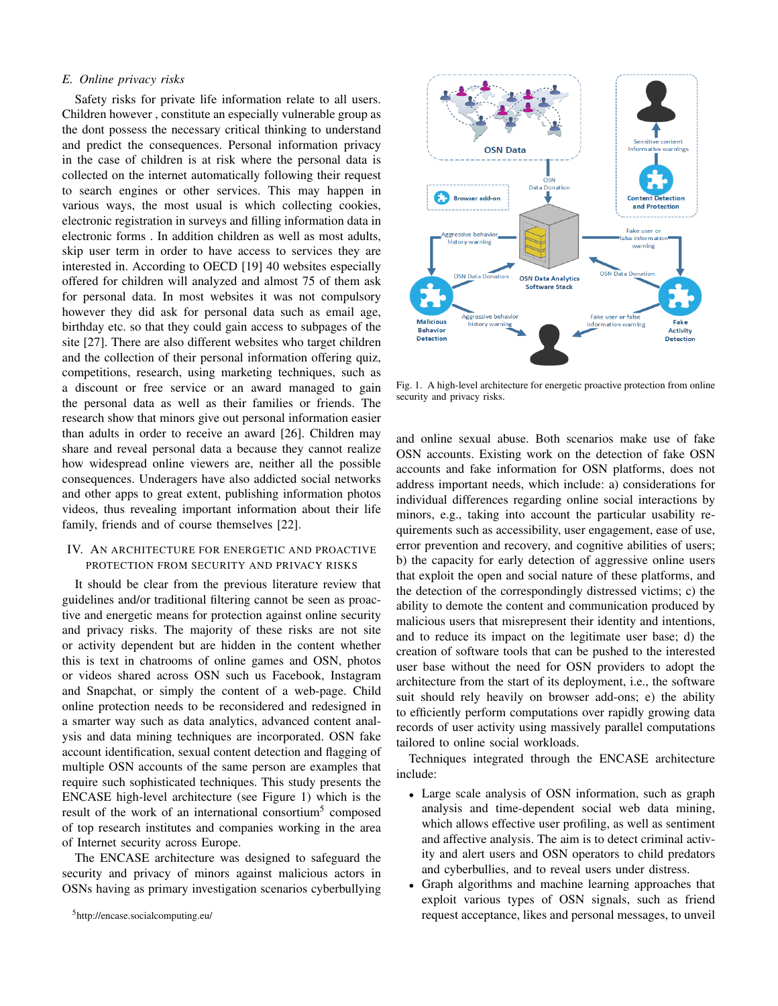#### *E. Online privacy risks*

Safety risks for private life information relate to all users. Children however , constitute an especially vulnerable group as the dont possess the necessary critical thinking to understand and predict the consequences. Personal information privacy in the case of children is at risk where the personal data is collected on the internet automatically following their request to search engines or other services. This may happen in various ways, the most usual is which collecting cookies, electronic registration in surveys and filling information data in electronic forms . In addition children as well as most adults, skip user term in order to have access to services they are interested in. According to OECD [19] 40 websites especially offered for children will analyzed and almost 75 of them ask for personal data. In most websites it was not compulsory however they did ask for personal data such as email age, birthday etc. so that they could gain access to subpages of the site [27]. There are also different websites who target children and the collection of their personal information offering quiz, competitions, research, using marketing techniques, such as a discount or free service or an award managed to gain the personal data as well as their families or friends. The research show that minors give out personal information easier than adults in order to receive an award [26]. Children may share and reveal personal data a because they cannot realize how widespread online viewers are, neither all the possible consequences. Underagers have also addicted social networks and other apps to great extent, publishing information photos videos, thus revealing important information about their life family, friends and of course themselves [22].

## IV. AN ARCHITECTURE FOR ENERGETIC AND PROACTIVE PROTECTION FROM SECURITY AND PRIVACY RISKS

It should be clear from the previous literature review that guidelines and/or traditional filtering cannot be seen as proactive and energetic means for protection against online security and privacy risks. The majority of these risks are not site or activity dependent but are hidden in the content whether this is text in chatrooms of online games and OSN, photos or videos shared across OSN such us Facebook, Instagram and Snapchat, or simply the content of a web-page. Child online protection needs to be reconsidered and redesigned in a smarter way such as data analytics, advanced content analysis and data mining techniques are incorporated. OSN fake account identification, sexual content detection and flagging of multiple OSN accounts of the same person are examples that require such sophisticated techniques. This study presents the ENCASE high-level architecture (see Figure 1) which is the result of the work of an international consortium<sup>5</sup> composed of top research institutes and companies working in the area of Internet security across Europe.

The ENCASE architecture was designed to safeguard the security and privacy of minors against malicious actors in OSNs having as primary investigation scenarios cyberbullying



Fig. 1. A high-level architecture for energetic proactive protection from online security and privacy risks.

and online sexual abuse. Both scenarios make use of fake OSN accounts. Existing work on the detection of fake OSN accounts and fake information for OSN platforms, does not address important needs, which include: a) considerations for individual differences regarding online social interactions by minors, e.g., taking into account the particular usability requirements such as accessibility, user engagement, ease of use, error prevention and recovery, and cognitive abilities of users; b) the capacity for early detection of aggressive online users that exploit the open and social nature of these platforms, and the detection of the correspondingly distressed victims; c) the ability to demote the content and communication produced by malicious users that misrepresent their identity and intentions, and to reduce its impact on the legitimate user base; d) the creation of software tools that can be pushed to the interested user base without the need for OSN providers to adopt the architecture from the start of its deployment, i.e., the software suit should rely heavily on browser add-ons; e) the ability to efficiently perform computations over rapidly growing data records of user activity using massively parallel computations tailored to online social workloads.

Techniques integrated through the ENCASE architecture include:

- Large scale analysis of OSN information, such as graph analysis and time-dependent social web data mining, which allows effective user profiling, as well as sentiment and affective analysis. The aim is to detect criminal activity and alert users and OSN operators to child predators and cyberbullies, and to reveal users under distress.
- Graph algorithms and machine learning approaches that exploit various types of OSN signals, such as friend request acceptance, likes and personal messages, to unveil

<sup>5</sup>http://encase.socialcomputing.eu/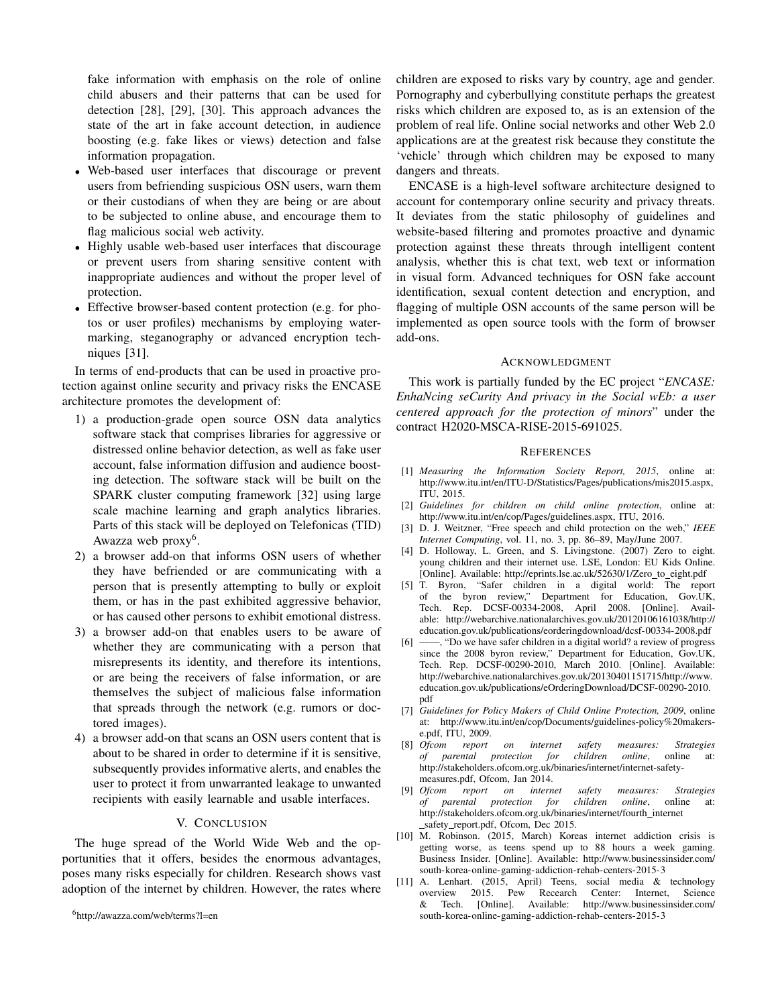fake information with emphasis on the role of online child abusers and their patterns that can be used for detection [28], [29], [30]. This approach advances the state of the art in fake account detection, in audience boosting (e.g. fake likes or views) detection and false information propagation.

- Web-based user interfaces that discourage or prevent users from befriending suspicious OSN users, warn them or their custodians of when they are being or are about to be subjected to online abuse, and encourage them to flag malicious social web activity.
- Highly usable web-based user interfaces that discourage or prevent users from sharing sensitive content with inappropriate audiences and without the proper level of protection.
- Effective browser-based content protection (e.g. for photos or user profiles) mechanisms by employing watermarking, steganography or advanced encryption techniques [31].

In terms of end-products that can be used in proactive protection against online security and privacy risks the ENCASE architecture promotes the development of:

- 1) a production-grade open source OSN data analytics software stack that comprises libraries for aggressive or distressed online behavior detection, as well as fake user account, false information diffusion and audience boosting detection. The software stack will be built on the SPARK cluster computing framework [32] using large scale machine learning and graph analytics libraries. Parts of this stack will be deployed on Telefonicas (TID) Awazza web proxy<sup>6</sup>.
- 2) a browser add-on that informs OSN users of whether they have befriended or are communicating with a person that is presently attempting to bully or exploit them, or has in the past exhibited aggressive behavior, or has caused other persons to exhibit emotional distress.
- 3) a browser add-on that enables users to be aware of whether they are communicating with a person that misrepresents its identity, and therefore its intentions, or are being the receivers of false information, or are themselves the subject of malicious false information that spreads through the network (e.g. rumors or doctored images).
- 4) a browser add-on that scans an OSN users content that is about to be shared in order to determine if it is sensitive, subsequently provides informative alerts, and enables the user to protect it from unwarranted leakage to unwanted recipients with easily learnable and usable interfaces.

### V. CONCLUSION

The huge spread of the World Wide Web and the opportunities that it offers, besides the enormous advantages, poses many risks especially for children. Research shows vast adoption of the internet by children. However, the rates where

<sup>6</sup>http://awazza.com/web/terms?l=en

children are exposed to risks vary by country, age and gender. Pornography and cyberbullying constitute perhaps the greatest risks which children are exposed to, as is an extension of the problem of real life. Online social networks and other Web 2.0 applications are at the greatest risk because they constitute the 'vehicle' through which children may be exposed to many dangers and threats.

ENCASE is a high-level software architecture designed to account for contemporary online security and privacy threats. It deviates from the static philosophy of guidelines and website-based filtering and promotes proactive and dynamic protection against these threats through intelligent content analysis, whether this is chat text, web text or information in visual form. Advanced techniques for OSN fake account identification, sexual content detection and encryption, and flagging of multiple OSN accounts of the same person will be implemented as open source tools with the form of browser add-ons.

#### **ACKNOWLEDGMENT**

This work is partially funded by the EC project "*ENCASE: EnhaNcing seCurity And privacy in the Social wEb: a user centered approach for the protection of minors*" under the contract H2020-MSCA-RISE-2015-691025.

#### **REFERENCES**

- [1] *Measuring the Information Society Report, 2015*, online at: http://www.itu.int/en/ITU-D/Statistics/Pages/publications/mis2015.aspx, ITU, 2015.
- [2] *Guidelines for children on child online protection*, online at: http://www.itu.int/en/cop/Pages/guidelines.aspx, ITU, 2016.
- [3] D. J. Weitzner, "Free speech and child protection on the web," *IEEE Internet Computing*, vol. 11, no. 3, pp. 86–89, May/June 2007.
- [4] D. Holloway, L. Green, and S. Livingstone. (2007) Zero to eight. young children and their internet use. LSE, London: EU Kids Online. [Online]. Available: http://eprints.lse.ac.uk/52630/1/Zero\_to\_eight.pdf
- [5] T. Byron, "Safer children in a digital world: The report of the byron review," Department for Education, Gov.UK, Tech. Rep. DCSF-00334-2008, April 2008. [Online]. Available: http://webarchive.nationalarchives.gov.uk/20120106161038/http:// education.gov.uk/publications/eorderingdownload/dcsf-00334-2008.pdf
- [6] ——, "Do we have safer children in a digital world? a review of progress since the 2008 byron review," Department for Education, Gov.UK, Tech. Rep. DCSF-00290-2010, March 2010. [Online]. Available: http://webarchive.nationalarchives.gov.uk/20130401151715/http://www. education.gov.uk/publications/eOrderingDownload/DCSF-00290-2010. pdf
- [7] *Guidelines for Policy Makers of Child Online Protection, 2009*, online at: http://www.itu.int/en/cop/Documents/guidelines-policy%20makerse.pdf, ITU, 2009.
- [8] *Ofcom report on internet safety measures: Strategies of parental protection for children online*, online at: http://stakeholders.ofcom.org.uk/binaries/internet/internet-safetymeasures.pdf, Ofcom, Jan 2014.
- [9] *Ofcom report on internet safety measures: Strategies of parental protection for children online*, online at: http://stakeholders.ofcom.org.uk/binaries/internet/fourth\_internet \_safety\_report.pdf, Ofcom, Dec 2015.
- [10] M. Robinson. (2015, March) Koreas internet addiction crisis is getting worse, as teens spend up to 88 hours a week gaming. Business Insider. [Online]. Available: http://www.businessinsider.com/ south-korea-online-gaming-addiction-rehab-centers-2015-3
- [11] A. Lenhart. (2015, April) Teens, social media & technology Recearch Center: Internet, Science & Tech. [Online]. Available: http://www.businessinsider.com/ south-korea-online-gaming-addiction-rehab-centers-2015-3